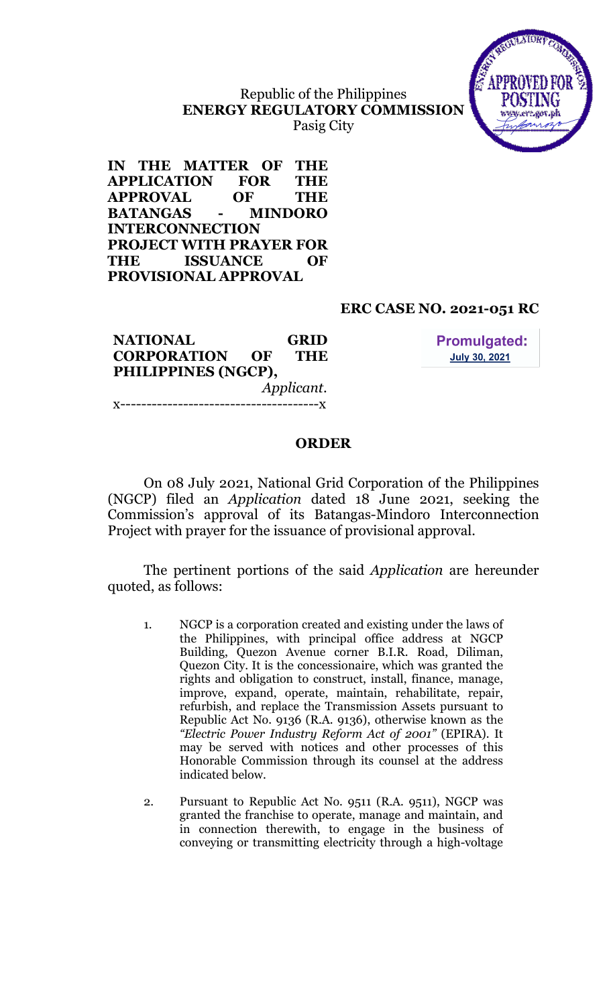# Republic of the Philippines ENERGY REGULATORY COMMISSION Pasig City



IN THE MATTER OF THE APPLICATION FOR THE APPROVAL OF THE BATANGAS - MINDORO INTERCONNECTION PROJECT WITH PRAYER FOR THE ISSUANCE OF PROVISIONAL APPROVAL

# ERC CASE NO. 2021-051 RC

NATIONAL GRID CORPORATION OF THE PHILIPPINES (NGCP), Applicant. x--------------------------------------x

**Promulgated: July 30, 2021** 

### ORDER

On 08 July 2021, National Grid Corporation of the Philippines (NGCP) filed an Application dated 18 June 2021, seeking the Commission's approval of its Batangas-Mindoro Interconnection Project with prayer for the issuance of provisional approval.

The pertinent portions of the said Application are hereunder quoted, as follows:

- 1. NGCP is a corporation created and existing under the laws of the Philippines, with principal office address at NGCP Building, Quezon Avenue corner B.I.R. Road, Diliman, Quezon City. It is the concessionaire, which was granted the rights and obligation to construct, install, finance, manage, improve, expand, operate, maintain, rehabilitate, repair, refurbish, and replace the Transmission Assets pursuant to Republic Act No. 9136 (R.A. 9136), otherwise known as the "Electric Power Industry Reform Act of 2001" (EPIRA). It may be served with notices and other processes of this Honorable Commission through its counsel at the address indicated below.
- 2. Pursuant to Republic Act No. 9511 (R.A. 9511), NGCP was granted the franchise to operate, manage and maintain, and in connection therewith, to engage in the business of conveying or transmitting electricity through a high-voltage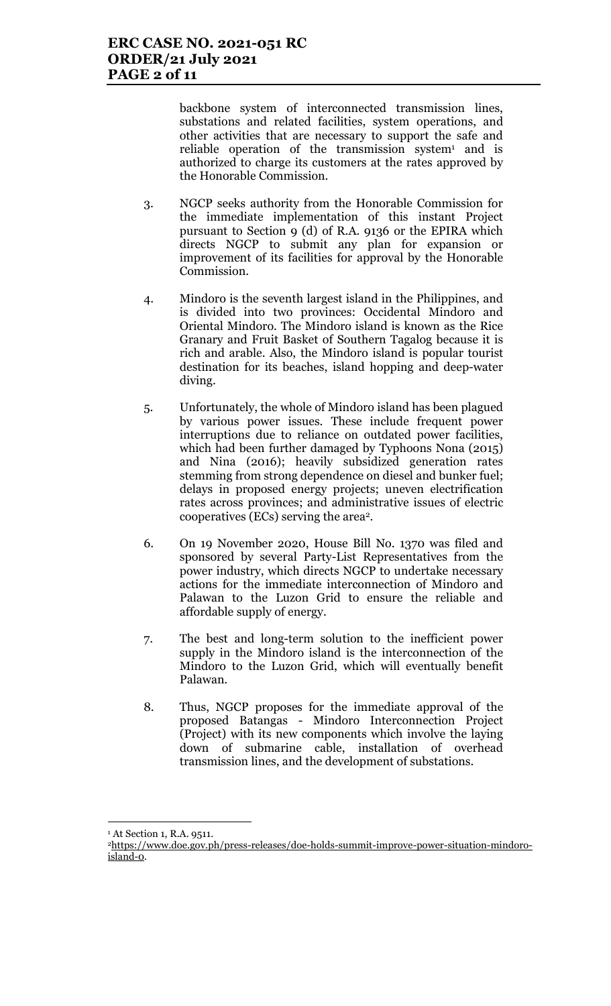backbone system of interconnected transmission lines, substations and related facilities, system operations, and other activities that are necessary to support the safe and reliable operation of the transmission system<sup>1</sup> and is authorized to charge its customers at the rates approved by the Honorable Commission.

- 3. NGCP seeks authority from the Honorable Commission for the immediate implementation of this instant Project pursuant to Section 9 (d) of R.A. 9136 or the EPIRA which directs NGCP to submit any plan for expansion or improvement of its facilities for approval by the Honorable Commission.
- 4. Mindoro is the seventh largest island in the Philippines, and is divided into two provinces: Occidental Mindoro and Oriental Mindoro. The Mindoro island is known as the Rice Granary and Fruit Basket of Southern Tagalog because it is rich and arable. Also, the Mindoro island is popular tourist destination for its beaches, island hopping and deep-water diving.
- 5. Unfortunately, the whole of Mindoro island has been plagued by various power issues. These include frequent power interruptions due to reliance on outdated power facilities, which had been further damaged by Typhoons Nona (2015) and Nina (2016); heavily subsidized generation rates stemming from strong dependence on diesel and bunker fuel; delays in proposed energy projects; uneven electrification rates across provinces; and administrative issues of electric cooperatives (ECs) serving the area2.
- 6. On 19 November 2020, House Bill No. 1370 was filed and sponsored by several Party-List Representatives from the power industry, which directs NGCP to undertake necessary actions for the immediate interconnection of Mindoro and Palawan to the Luzon Grid to ensure the reliable and affordable supply of energy.
- 7. The best and long-term solution to the inefficient power supply in the Mindoro island is the interconnection of the Mindoro to the Luzon Grid, which will eventually benefit Palawan.
- 8. Thus, NGCP proposes for the immediate approval of the proposed Batangas - Mindoro Interconnection Project (Project) with its new components which involve the laying down of submarine cable, installation of overhead transmission lines, and the development of substations.

 $\overline{a}$ 

<sup>1</sup> At Section 1, R.A. 9511.

<sup>2</sup>https://www.doe.gov.ph/press-releases/doe-holds-summit-improve-power-situation-mindoroisland-0.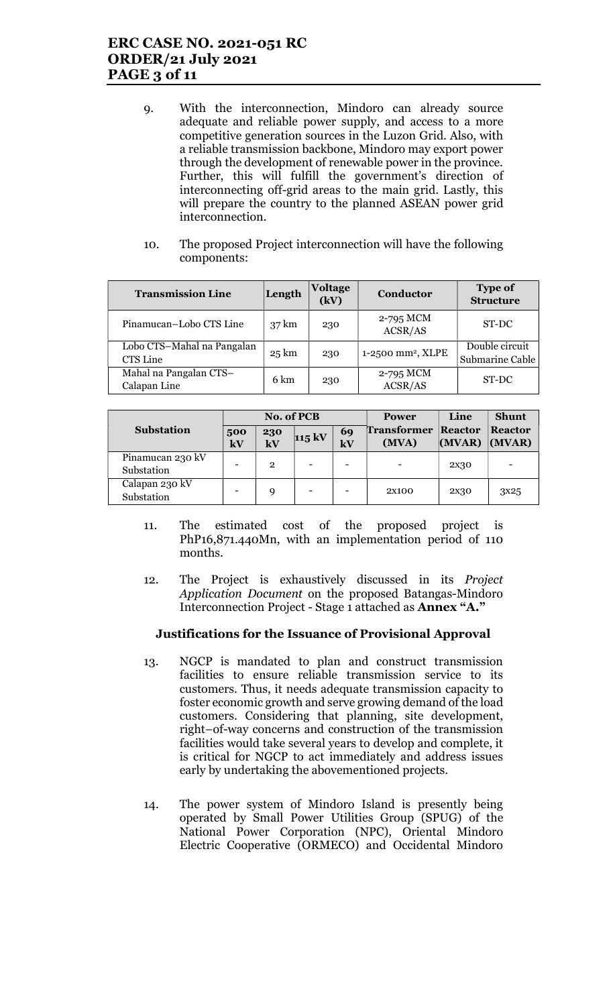## ERC CASE NO. 2021-051 RC ORDER/21 July 2021 PAGE 3 of 11

- 9. With the interconnection, Mindoro can already source adequate and reliable power supply, and access to a more competitive generation sources in the Luzon Grid. Also, with a reliable transmission backbone, Mindoro may export power through the development of renewable power in the province. Further, this will fulfill the government's direction of interconnecting off-grid areas to the main grid. Lastly, this will prepare the country to the planned ASEAN power grid interconnection.
- 10. The proposed Project interconnection will have the following components:

| <b>Transmission Line</b>               | Length          | <b>Voltage</b><br>(kV) | Conductor                     | <b>Type of</b><br><b>Structure</b> |
|----------------------------------------|-----------------|------------------------|-------------------------------|------------------------------------|
| Pinamucan-Lobo CTS Line                | $37 \text{ km}$ | 230                    | 2-795 MCM<br>ACSR/AS          | ST-DC                              |
| Lobo CTS-Mahal na Pangalan<br>CTS Line | $25 \text{ km}$ | 230                    | 1-2500 mm <sup>2</sup> , XLPE | Double circuit<br>Submarine Cable  |
| Mahal na Pangalan CTS-<br>Calapan Line | 6 km            | 230                    | 2-795 MCM<br>ACSR/AS          | ST-DC                              |

|                                | <b>No. of PCB</b> |                |                  |                     | <b>Power</b>                | Line              | <b>Shunt</b>             |
|--------------------------------|-------------------|----------------|------------------|---------------------|-----------------------------|-------------------|--------------------------|
| <b>Substation</b>              | 500<br>kV         | 230<br>kV      | $115 \text{ kV}$ | 69<br>$\mathbf{kV}$ | <b>Transformer</b><br>(MVA) | Reactor<br>(MVAR) | <b>Reactor</b><br>(MVAR) |
| Pinamucan 230 kV<br>Substation |                   | $\overline{2}$ | -                |                     |                             | 2 <sub>X</sub> 30 |                          |
| Calapan 230 kV<br>Substation   |                   | 9              |                  |                     | 2X100                       | 2 <sub>X</sub> 30 | 3 <sup>x25</sup>         |

- 11. The estimated cost of the proposed project is PhP16,871.440Mn, with an implementation period of 110 months.
- 12. The Project is exhaustively discussed in its Project Application Document on the proposed Batangas-Mindoro Interconnection Project - Stage 1 attached as Annex "A."

### Justifications for the Issuance of Provisional Approval

- 13. NGCP is mandated to plan and construct transmission facilities to ensure reliable transmission service to its customers. Thus, it needs adequate transmission capacity to foster economic growth and serve growing demand of the load customers. Considering that planning, site development, right–of-way concerns and construction of the transmission facilities would take several years to develop and complete, it is critical for NGCP to act immediately and address issues early by undertaking the abovementioned projects.
- 14. The power system of Mindoro Island is presently being operated by Small Power Utilities Group (SPUG) of the National Power Corporation (NPC), Oriental Mindoro Electric Cooperative (ORMECO) and Occidental Mindoro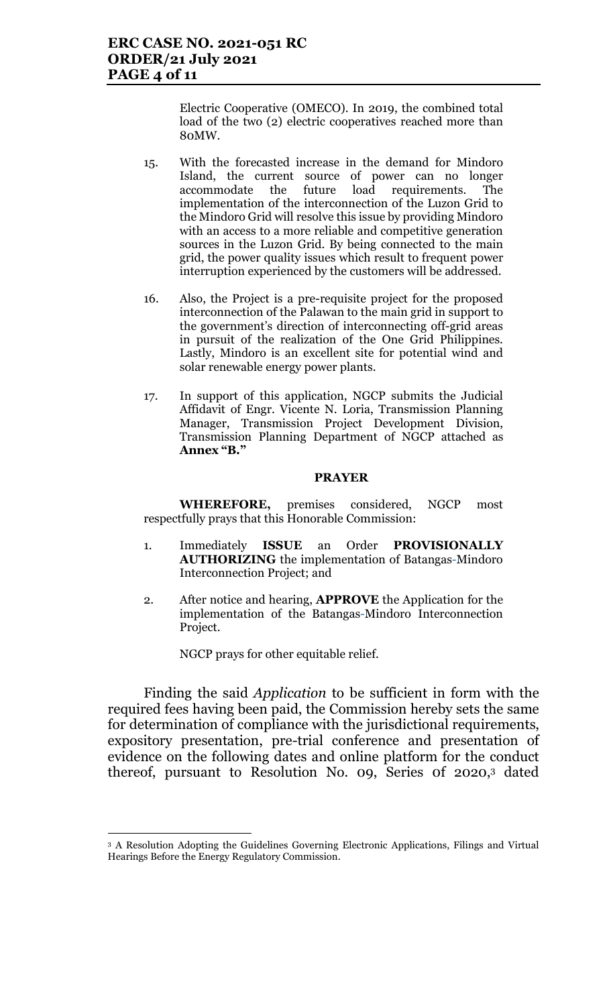Electric Cooperative (OMECO). In 2019, the combined total load of the two (2) electric cooperatives reached more than 80MW.

- 15. With the forecasted increase in the demand for Mindoro Island, the current source of power can no longer accommodate the future load requirements. The implementation of the interconnection of the Luzon Grid to the Mindoro Grid will resolve this issue by providing Mindoro with an access to a more reliable and competitive generation sources in the Luzon Grid. By being connected to the main grid, the power quality issues which result to frequent power interruption experienced by the customers will be addressed.
- 16. Also, the Project is a pre-requisite project for the proposed interconnection of the Palawan to the main grid in support to the government's direction of interconnecting off-grid areas in pursuit of the realization of the One Grid Philippines. Lastly, Mindoro is an excellent site for potential wind and solar renewable energy power plants.
- 17. In support of this application, NGCP submits the Judicial Affidavit of Engr. Vicente N. Loria, Transmission Planning Manager, Transmission Project Development Division, Transmission Planning Department of NGCP attached as Annex "B."

#### PRAYER

WHEREFORE, premises considered, NGCP most respectfully prays that this Honorable Commission:

- 1. Immediately ISSUE an Order PROVISIONALLY AUTHORIZING the implementation of Batangas-Mindoro Interconnection Project; and
- 2. After notice and hearing, **APPROVE** the Application for the implementation of the Batangas-Mindoro Interconnection Project.

NGCP prays for other equitable relief.

 $\overline{a}$ 

Finding the said Application to be sufficient in form with the required fees having been paid, the Commission hereby sets the same for determination of compliance with the jurisdictional requirements, expository presentation, pre-trial conference and presentation of evidence on the following dates and online platform for the conduct thereof, pursuant to Resolution No. 09, Series 0f 2020,3 dated

<sup>3</sup> A Resolution Adopting the Guidelines Governing Electronic Applications, Filings and Virtual Hearings Before the Energy Regulatory Commission.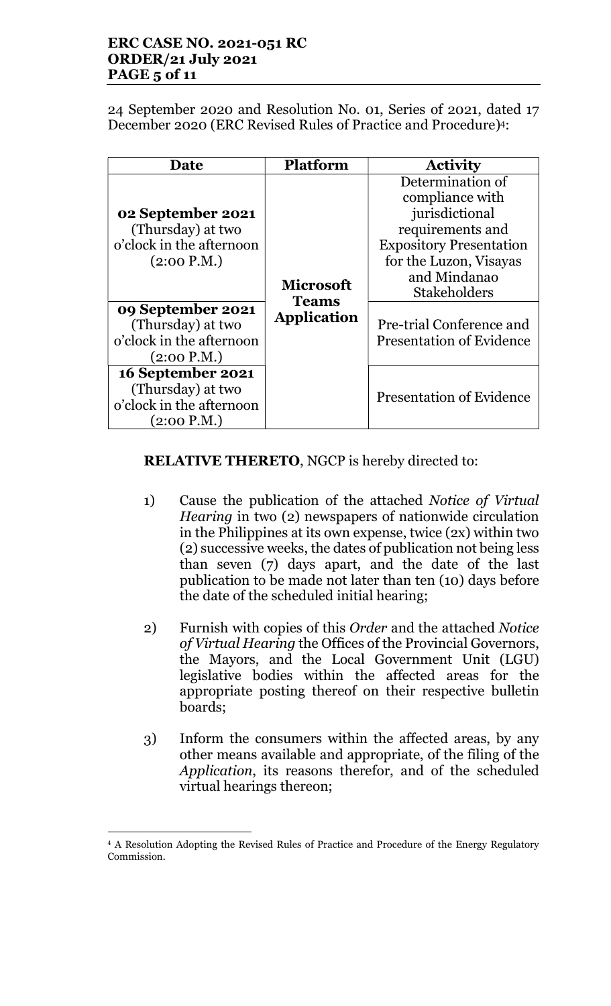## ERC CASE NO. 2021-051 RC ORDER/21 July 2021 PAGE 5 of 11

24 September 2020 and Resolution No. 01, Series of 2021, dated 17 December 2020 (ERC Revised Rules of Practice and Procedure)4:

| Date                                                                              | <b>Platform</b>                  | <b>Activity</b>                                                                                                                                                              |
|-----------------------------------------------------------------------------------|----------------------------------|------------------------------------------------------------------------------------------------------------------------------------------------------------------------------|
| 02 September 2021<br>(Thursday) at two<br>o'clock in the afternoon<br>(2:00 P.M.) | <b>Microsoft</b><br><b>Teams</b> | Determination of<br>compliance with<br>jurisdictional<br>requirements and<br><b>Expository Presentation</b><br>for the Luzon, Visayas<br>and Mindanao<br><b>Stakeholders</b> |
| 09 September 2021<br>(Thursday) at two<br>o'clock in the afternoon<br>(2:00 P.M.) | <b>Application</b>               | Pre-trial Conference and<br><b>Presentation of Evidence</b>                                                                                                                  |
| 16 September 2021<br>(Thursday) at two<br>o'clock in the afternoon<br>(2:00 P.M.) |                                  | <b>Presentation of Evidence</b>                                                                                                                                              |

# RELATIVE THERETO, NGCP is hereby directed to:

- 1) Cause the publication of the attached Notice of Virtual Hearing in two (2) newspapers of nationwide circulation in the Philippines at its own expense, twice (2x) within two (2) successive weeks, the dates of publication not being less than seven (7) days apart, and the date of the last publication to be made not later than ten (10) days before the date of the scheduled initial hearing;
- 2) Furnish with copies of this Order and the attached Notice of Virtual Hearing the Offices of the Provincial Governors, the Mayors, and the Local Government Unit (LGU) legislative bodies within the affected areas for the appropriate posting thereof on their respective bulletin boards;
- 3) Inform the consumers within the affected areas, by any other means available and appropriate, of the filing of the Application, its reasons therefor, and of the scheduled virtual hearings thereon;

 $\ddot{\phantom{a}}$ <sup>4</sup> A Resolution Adopting the Revised Rules of Practice and Procedure of the Energy Regulatory Commission.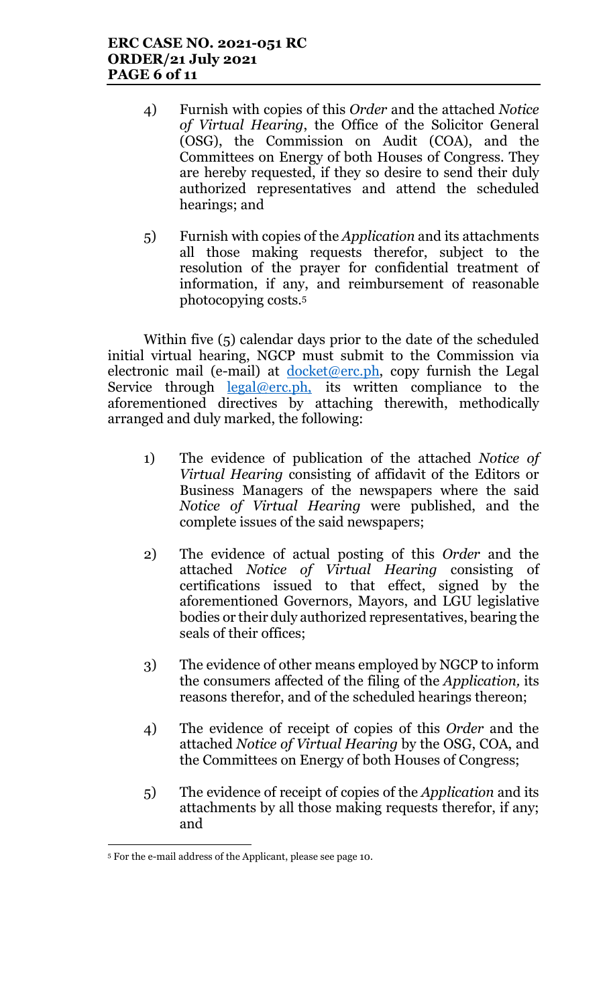- 4) Furnish with copies of this Order and the attached Notice of Virtual Hearing, the Office of the Solicitor General (OSG), the Commission on Audit (COA), and the Committees on Energy of both Houses of Congress. They are hereby requested, if they so desire to send their duly authorized representatives and attend the scheduled hearings; and
- 5) Furnish with copies of the Application and its attachments all those making requests therefor, subject to the resolution of the prayer for confidential treatment of information, if any, and reimbursement of reasonable photocopying costs.<sup>5</sup>

Within five (5) calendar days prior to the date of the scheduled initial virtual hearing, NGCP must submit to the Commission via electronic mail (e-mail) at  $d$ <sub>ocket</sub>@erc.ph, copy furnish the Legal Service through legal@erc.ph, its written compliance to the aforementioned directives by attaching therewith, methodically arranged and duly marked, the following:

- 1) The evidence of publication of the attached Notice of Virtual Hearing consisting of affidavit of the Editors or Business Managers of the newspapers where the said Notice of Virtual Hearing were published, and the complete issues of the said newspapers;
- 2) The evidence of actual posting of this Order and the attached Notice of Virtual Hearing consisting of certifications issued to that effect, signed by the aforementioned Governors, Mayors, and LGU legislative bodies or their duly authorized representatives, bearing the seals of their offices;
- 3) The evidence of other means employed by NGCP to inform the consumers affected of the filing of the Application, its reasons therefor, and of the scheduled hearings thereon;
- 4) The evidence of receipt of copies of this Order and the attached Notice of Virtual Hearing by the OSG, COA, and the Committees on Energy of both Houses of Congress;
- 5) The evidence of receipt of copies of the Application and its attachments by all those making requests therefor, if any; and

 $\ddot{\phantom{a}}$ 5 For the e-mail address of the Applicant, please see page 10.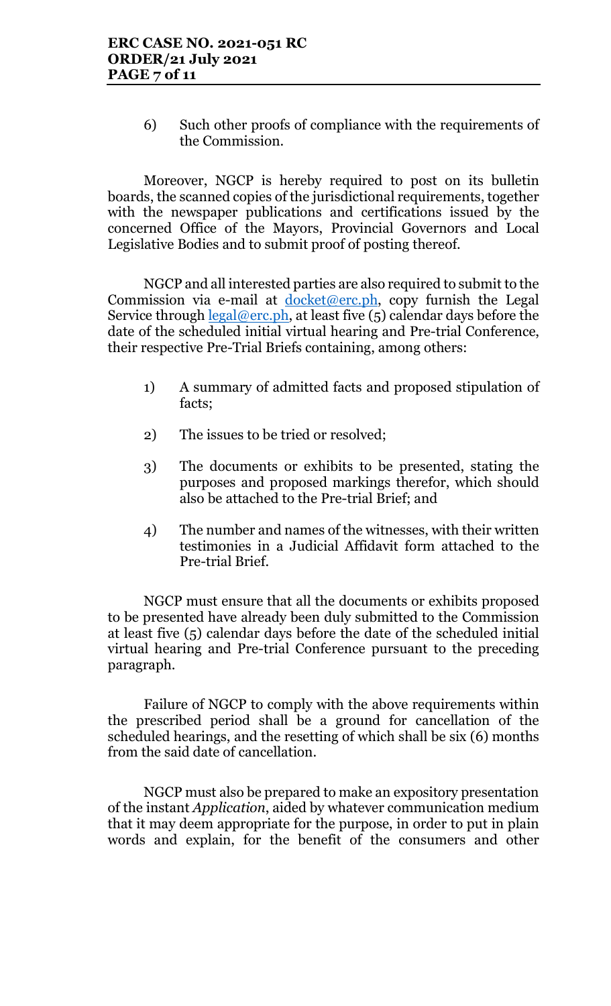6) Such other proofs of compliance with the requirements of the Commission.

Moreover, NGCP is hereby required to post on its bulletin boards, the scanned copies of the jurisdictional requirements, together with the newspaper publications and certifications issued by the concerned Office of the Mayors, Provincial Governors and Local Legislative Bodies and to submit proof of posting thereof.

NGCP and all interested parties are also required to submit to the Commission via e-mail at  $d$ ocket@erc.ph, copy furnish the Legal Service through  $\frac{\text{legal@erc.ph}}{\text{.}}$  at least five (5) calendar days before the date of the scheduled initial virtual hearing and Pre-trial Conference, their respective Pre-Trial Briefs containing, among others:

- 1) A summary of admitted facts and proposed stipulation of facts;
- 2) The issues to be tried or resolved;
- 3) The documents or exhibits to be presented, stating the purposes and proposed markings therefor, which should also be attached to the Pre-trial Brief; and
- 4) The number and names of the witnesses, with their written testimonies in a Judicial Affidavit form attached to the Pre-trial Brief.

NGCP must ensure that all the documents or exhibits proposed to be presented have already been duly submitted to the Commission at least five (5) calendar days before the date of the scheduled initial virtual hearing and Pre-trial Conference pursuant to the preceding paragraph.

Failure of NGCP to comply with the above requirements within the prescribed period shall be a ground for cancellation of the scheduled hearings, and the resetting of which shall be six (6) months from the said date of cancellation.

NGCP must also be prepared to make an expository presentation of the instant Application, aided by whatever communication medium that it may deem appropriate for the purpose, in order to put in plain words and explain, for the benefit of the consumers and other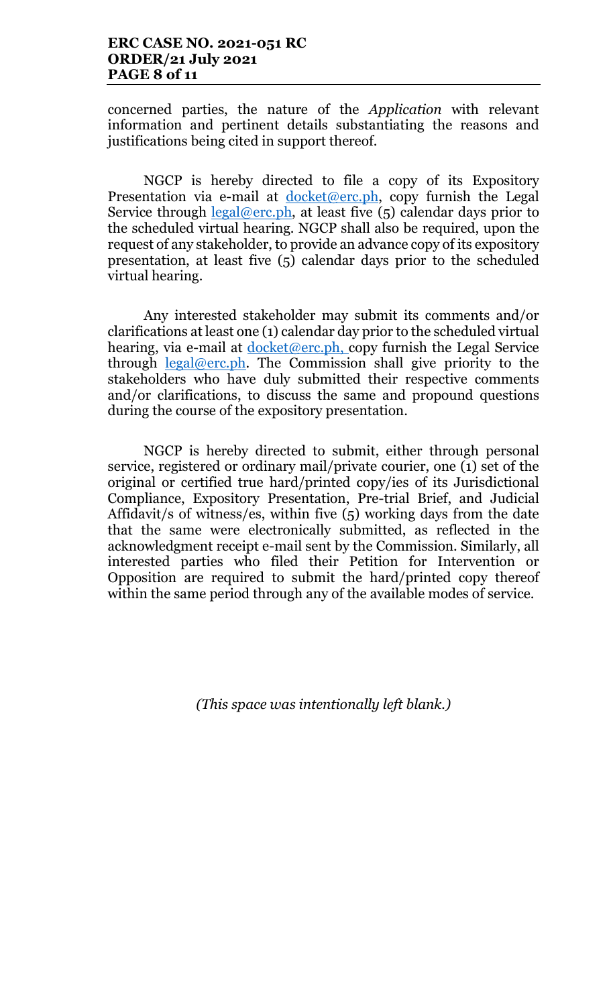concerned parties, the nature of the Application with relevant information and pertinent details substantiating the reasons and justifications being cited in support thereof.

NGCP is hereby directed to file a copy of its Expository Presentation via e-mail at  $d$ ocket@erc.ph, copy furnish the Legal Service through  $\text{legal@erc.ph.}$  at least five  $(5)$  calendar days prior to the scheduled virtual hearing. NGCP shall also be required, upon the request of any stakeholder, to provide an advance copy of its expository presentation, at least five (5) calendar days prior to the scheduled virtual hearing.

Any interested stakeholder may submit its comments and/or clarifications at least one (1) calendar day prior to the scheduled virtual hearing, via e-mail at  $d$ ocket@erc.ph, copy furnish the Legal Service through legal@erc.ph. The Commission shall give priority to the stakeholders who have duly submitted their respective comments and/or clarifications, to discuss the same and propound questions during the course of the expository presentation.

NGCP is hereby directed to submit, either through personal service, registered or ordinary mail/private courier, one (1) set of the original or certified true hard/printed copy/ies of its Jurisdictional Compliance, Expository Presentation, Pre-trial Brief, and Judicial Affidavit/s of witness/es, within five (5) working days from the date that the same were electronically submitted, as reflected in the acknowledgment receipt e-mail sent by the Commission. Similarly, all interested parties who filed their Petition for Intervention or Opposition are required to submit the hard/printed copy thereof within the same period through any of the available modes of service.

(This space was intentionally left blank.)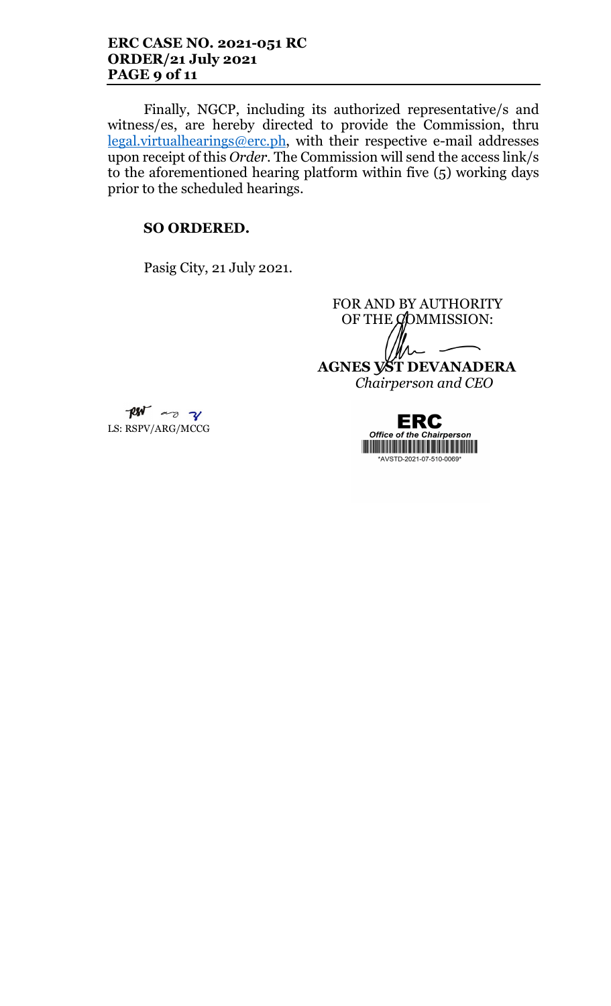### ERC CASE NO. 2021-051 RC ORDER/21 July 2021 PAGE 9 of 11

Finally, NGCP, including its authorized representative/s and witness/es, are hereby directed to provide the Commission, thru legal.virtualhearings@erc.ph, with their respective e-mail addresses upon receipt of this Order. The Commission will send the access link/s to the aforementioned hearing platform within five (5) working days prior to the scheduled hearings.

# SO ORDERED.

Pasig City, 21 July 2021.

FOR AND BY AUTHORITY OF THE  $\cancel{Q}$ OMMISSION: AGNES VST DEVANADERA Chairperson and CEO



 $RM$  as  $\gamma$ LS: RSPV/ARG/MCCG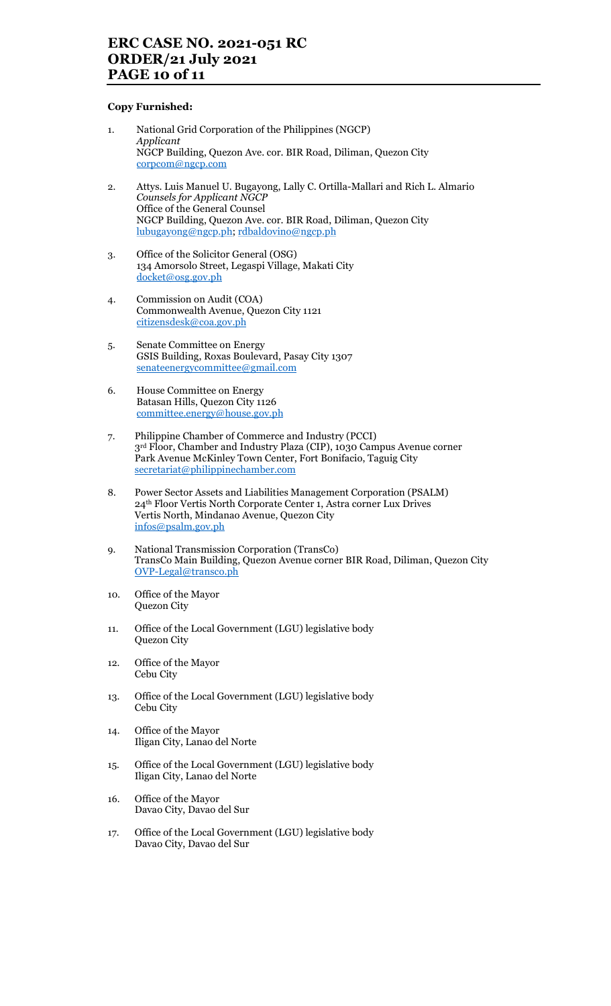# ERC CASE NO. 2021-051 RC ORDER/21 July 2021 PAGE 10 of 11

#### Copy Furnished:

- 1. National Grid Corporation of the Philippines (NGCP) Applicant NGCP Building, Quezon Ave. cor. BIR Road, Diliman, Quezon City corpcom@ngcp.com
- 2. Attys. Luis Manuel U. Bugayong, Lally C. Ortilla-Mallari and Rich L. Almario Counsels for Applicant NGCP Office of the General Counsel NGCP Building, Quezon Ave. cor. BIR Road, Diliman, Quezon City lubugayong@ngcp.ph; rdbaldovino@ngcp.ph
- 3. Office of the Solicitor General (OSG) 134 Amorsolo Street, Legaspi Village, Makati City docket@osg.gov.ph
- 4. Commission on Audit (COA) Commonwealth Avenue, Quezon City 1121 citizensdesk@coa.gov.ph
- 5. Senate Committee on Energy GSIS Building, Roxas Boulevard, Pasay City 1307 senateenergycommittee@gmail.com
- 6. House Committee on Energy Batasan Hills, Quezon City 1126 committee.energy@house.gov.ph
- 7. Philippine Chamber of Commerce and Industry (PCCI) 3rd Floor, Chamber and Industry Plaza (CIP), 1030 Campus Avenue corner Park Avenue McKinley Town Center, Fort Bonifacio, Taguig City secretariat@philippinechamber.com
- 8. Power Sector Assets and Liabilities Management Corporation (PSALM) 24th Floor Vertis North Corporate Center 1, Astra corner Lux Drives Vertis North, Mindanao Avenue, Quezon City infos@psalm.gov.ph
- 9. National Transmission Corporation (TransCo) TransCo Main Building, Quezon Avenue corner BIR Road, Diliman, Quezon City OVP-Legal@transco.ph
- 10. Office of the Mayor Quezon City
- 11. Office of the Local Government (LGU) legislative body Quezon City
- 12. Office of the Mayor Cebu City
- 13. Office of the Local Government (LGU) legislative body Cebu City
- 14. Office of the Mayor Iligan City, Lanao del Norte
- 15. Office of the Local Government (LGU) legislative body Iligan City, Lanao del Norte
- 16. Office of the Mayor Davao City, Davao del Sur
- 17. Office of the Local Government (LGU) legislative body Davao City, Davao del Sur